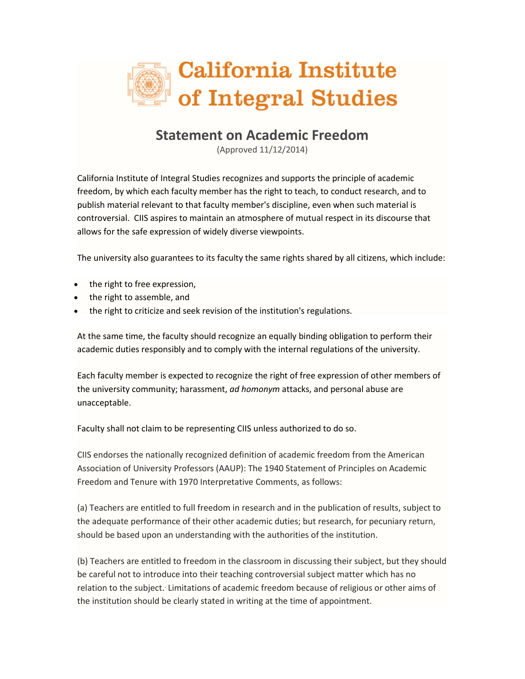

## **Statement on Academic Freedom**

(Approved 11/12/2014)

California Institute of Integral Studies recognizes and supports the principle of academic freedom, by which each faculty member has the right to teach, to conduct research, and to publish material relevant to that faculty member's discipline, even when such material is controversial. CIIS aspires to maintain an atmosphere of mutual respect in its discourse that allows for the safe expression of widely diverse viewpoints.

The university also guarantees to its faculty the same rights shared by all citizens, which include:

- the right to free expression,
- the right to assemble, and
- the right to criticize and seek revision of the institution's regulations.

At the same time, the faculty should recognize an equally binding obligation to perform their academic duties responsibly and to comply with the internal regulations of the university.

Each faculty member is expected to recognize the right of free expression of other members of the university community; harassment, *ad homonym* attacks, and personal abuse are unacceptable.

Faculty shall not claim to be representing CIIS unless authorized to do so.

CIIS endorses the nationally recognized definition of academic freedom from the American Association of University Professors (AAUP): The 1940 Statement of Principles on Academic Freedom and Tenure with 1970 Interpretative Comments, as follows:

(a) Teachers are entitled to full freedom in research and in the publication of results, subject to the adequate performance of their other academic duties; but research, for pecuniary return, should be based upon an understanding with the authorities of the institution.

(b) Teachers are entitled to freedom in the classroom in discussing their subject, but they should be careful not to introduce into their teaching controversial subject matter which has no relation to the subject. Limitations of academic freedom because of religious or other aims of the institution should be clearly stated in writing at the time of appointment.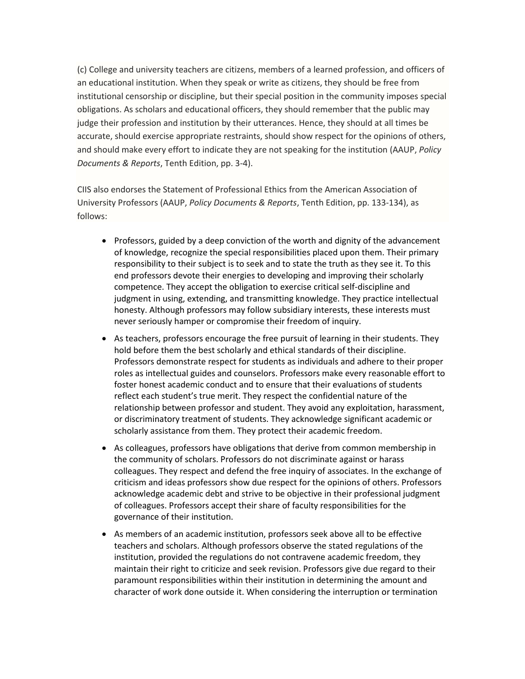(c) College and university teachers are citizens, members of a learned profession, and officers of an educational institution. When they speak or write as citizens, they should be free from institutional censorship or discipline, but their special position in the community imposes special obligations. As scholars and educational officers, they should remember that the public may judge their profession and institution by their utterances. Hence, they should at all times be accurate, should exercise appropriate restraints, should show respect for the opinions of others, and should make every effort to indicate they are not speaking for the institution (AAUP, *Policy Documents & Reports*, Tenth Edition, pp. 3-4).

CIIS also endorses the Statement of Professional Ethics from the American Association of University Professors (AAUP, *Policy Documents & Reports*, Tenth Edition, pp. 133-134), as follows:

- Professors, guided by a deep conviction of the worth and dignity of the advancement of knowledge, recognize the special responsibilities placed upon them. Their primary responsibility to their subject is to seek and to state the truth as they see it. To this end professors devote their energies to developing and improving their scholarly competence. They accept the obligation to exercise critical self-discipline and judgment in using, extending, and transmitting knowledge. They practice intellectual honesty. Although professors may follow subsidiary interests, these interests must never seriously hamper or compromise their freedom of inquiry.
- As teachers, professors encourage the free pursuit of learning in their students. They hold before them the best scholarly and ethical standards of their discipline. Professors demonstrate respect for students as individuals and adhere to their proper roles as intellectual guides and counselors. Professors make every reasonable effort to foster honest academic conduct and to ensure that their evaluations of students reflect each student's true merit. They respect the confidential nature of the relationship between professor and student. They avoid any exploitation, harassment, or discriminatory treatment of students. They acknowledge significant academic or scholarly assistance from them. They protect their academic freedom.
- As colleagues, professors have obligations that derive from common membership in the community of scholars. Professors do not discriminate against or harass colleagues. They respect and defend the free inquiry of associates. In the exchange of criticism and ideas professors show due respect for the opinions of others. Professors acknowledge academic debt and strive to be objective in their professional judgment of colleagues. Professors accept their share of faculty responsibilities for the governance of their institution.
- As members of an academic institution, professors seek above all to be effective teachers and scholars. Although professors observe the stated regulations of the institution, provided the regulations do not contravene academic freedom, they maintain their right to criticize and seek revision. Professors give due regard to their paramount responsibilities within their institution in determining the amount and character of work done outside it. When considering the interruption or termination